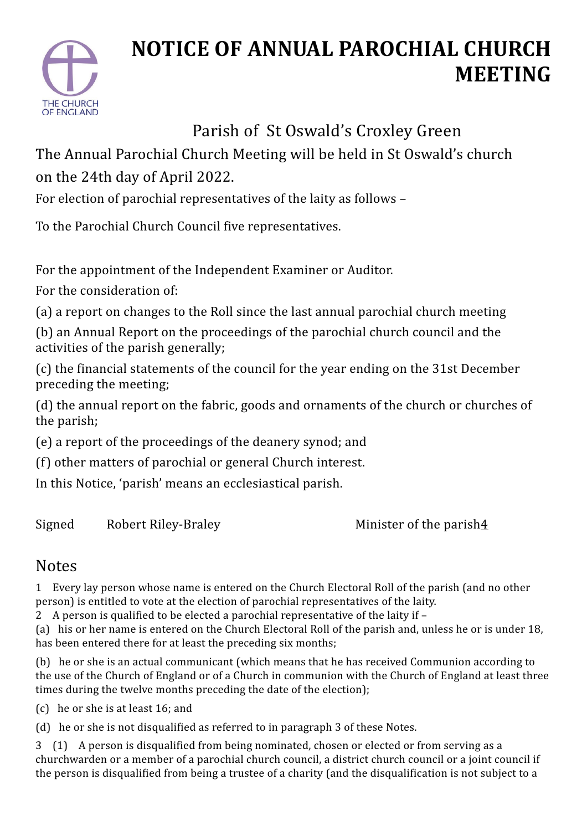

## **NOTICE OF ANNUAL PAROCHIAL CHURCH MEETING**

## Parish of St Oswald's Croxley Green

The Annual Parochial Church Meeting will be held in St Oswald's church on the 24th day of April 2022.

For election of parochial representatives of the laity as follows –

To the Parochial Church Council five representatives.

For the appointment of the Independent Examiner or Auditor.

For the consideration of:

(a) a report on changes to the Roll since the last annual parochial church meeting

(b) an Annual Report on the proceedings of the parochial church council and the activities of the parish generally;

(c) the financial statements of the council for the year ending on the 31st December preceding the meeting;

(d) the annual report on the fabric, goods and ornaments of the church or churches of the parish;

(e) a report of the proceedings of the deanery synod; and

(f) other matters of parochial or general Church interest.

In this Notice, 'parish' means an ecclesiastical parish.

Signed Robert Riley-Braley **Signed** Robert Riley-Braley

## Notes

1 Every lay person whose name is entered on the Church Electoral Roll of the parish (and no other person) is entitled to vote at the election of parochial representatives of the laity.

2 A person is qualified to be elected a parochial representative of the laity if -

(a) his or her name is entered on the Church Electoral Roll of the parish and, unless he or is under 18, has been entered there for at least the preceding six months;

(b) he or she is an actual communicant (which means that he has received Communion according to the use of the Church of England or of a Church in communion with the Church of England at least three times during the twelve months preceding the date of the election);

(c) he or she is at least 16; and

(d) he or she is not disqualified as referred to in paragraph 3 of these Notes.

3 (1) A person is disqualified from being nominated, chosen or elected or from serving as a churchwarden or a member of a parochial church council, a district church council or a joint council if the person is disqualified from being a trustee of a charity (and the disqualification is not subject to a